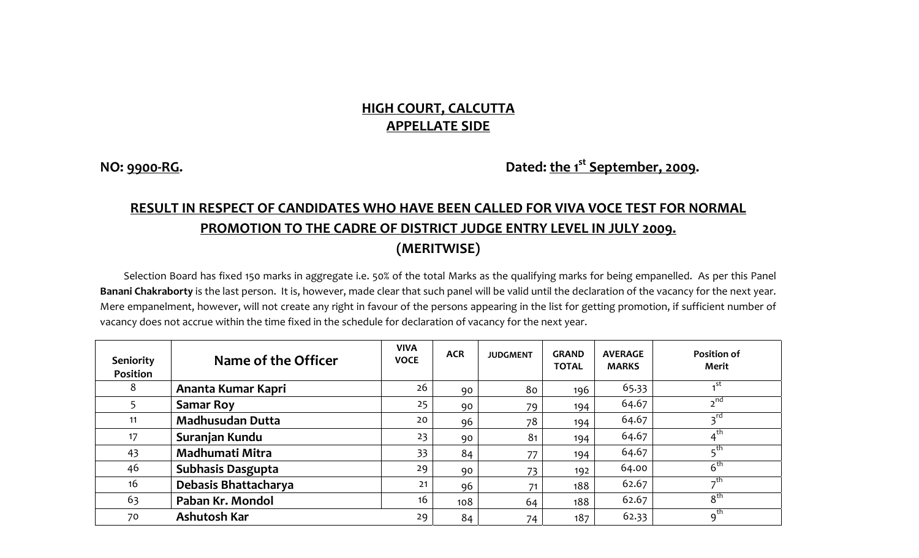## **HIGH COURT, CALCUTTA APPELLATE SIDE**

**NO: <sup>9900</sup>‐RG. Dated: the <sup>1</sup>st September, 2009.**

## **RESULT IN RESPECT OF CANDIDATES WHO HAVE BEEN CALLED FOR VIVA VOCE TEST FOR NORMAL PROMOTION TO THE CADRE OF DISTRICT JUDGE ENTRY LEVEL IN JULY 2009. (MERITWISE)**

Selection Board has fixed 150 marks in aggregate i.e. 50% of the total Marks as the qualifying marks for being empanelled. As per this Panel **Banani Chakraborty** is the last person. It is, however, made clear that such panel will be valid until the declaration of the vacancy for the next year. Mere empanelment, however, will not create any right in favour of the persons appearing in the list for getting promotion, if sufficient number of vacancy does not accrue within the time fixed in the schedule for declaration of vacancy for the next year.

| Seniority<br>Position | Name of the Officer      | <b>VIVA</b><br><b>VOCE</b> | <b>ACR</b> | <b>JUDGMENT</b> | <b>GRAND</b><br><b>TOTAL</b> | <b>AVERAGE</b><br><b>MARKS</b> | <b>Position of</b><br>Merit |
|-----------------------|--------------------------|----------------------------|------------|-----------------|------------------------------|--------------------------------|-----------------------------|
| 8                     | Ananta Kumar Kapri       | 26                         | 90         | 80              | 196                          | 65.33                          | $\mathsf{I}$ st             |
|                       | <b>Samar Roy</b>         | 25                         | 90         | 79              | 194                          | 64.67                          | $2^{nd}$                    |
| 11                    | <b>Madhusudan Dutta</b>  | 20                         | 96         | 78              | 194                          | 64.67                          | $3^{rd}$                    |
| 17                    | Suranjan Kundu           | 23                         | 90         | 81              | 194                          | 64.67                          | 4 <sup>th</sup>             |
| 43                    | Madhumati Mitra          | 33 <sup>2</sup>            | 84         | 77              | 194                          | 64.67                          | _th                         |
| 46                    | <b>Subhasis Dasgupta</b> | 29                         | 90         | 73              | 192                          | 64.00                          | $\overline{6}^{\text{th}}$  |
| 16                    | Debasis Bhattacharya     | 21                         | 96         | 71              | 188                          | 62.67                          | _th                         |
| 63                    | Paban Kr. Mondol         | 16                         | 108        | 64              | 188                          | 62.67                          | 8 <sup>th</sup>             |
| 70                    | <b>Ashutosh Kar</b>      | 29                         | 84         | 74              | 187                          | 62.33                          | $\overline{q}^{\text{th}}$  |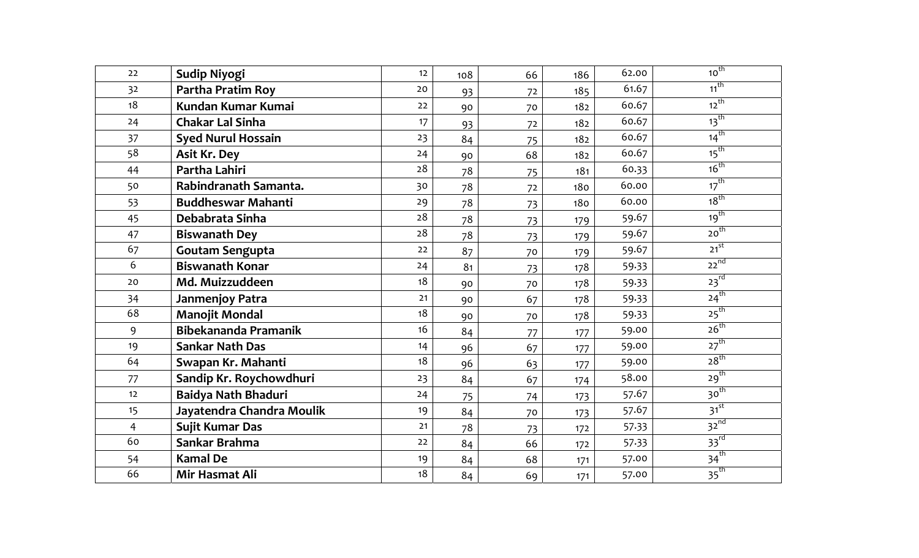| 22             | Sudip Niyogi                | 12 | 108 | 66 | 186 | 62.00 | $10^{th}$          |
|----------------|-----------------------------|----|-----|----|-----|-------|--------------------|
| 32             | Partha Pratim Roy           | 20 | 93  | 72 | 185 | 61.67 | $11$ <sup>th</sup> |
| 18             | Kundan Kumar Kumai          | 22 | 90  | 70 | 182 | 60.67 | $12^{th}$          |
| 24             | <b>Chakar Lal Sinha</b>     | 17 | 93  | 72 | 182 | 60.67 | $13$ <sup>th</sup> |
| 37             | <b>Syed Nurul Hossain</b>   | 23 | 84  | 75 | 182 | 60.67 | $14^{th}$          |
| 58             | <b>Asit Kr. Dey</b>         | 24 | 90  | 68 | 182 | 60.67 | $15$ <sup>th</sup> |
| 44             | Partha Lahiri               | 28 | 78  | 75 | 181 | 60.33 | 16 <sup>th</sup>   |
| 50             | Rabindranath Samanta.       | 30 | 78  | 72 | 180 | 60.00 | $17^{th}$          |
| 53             | <b>Buddheswar Mahanti</b>   | 29 | 78  | 73 | 180 | 60.00 | 18 <sup>th</sup>   |
| 45             | Debabrata Sinha             | 28 | 78  | 73 | 179 | 59.67 | 19 <sup>th</sup>   |
| 47             | <b>Biswanath Dey</b>        | 28 | 78  | 73 | 179 | 59.67 | 20 <sup>th</sup>   |
| 67             | <b>Goutam Sengupta</b>      | 22 | 87  | 70 | 179 | 59.67 | $21^{st}$          |
| 6              | <b>Biswanath Konar</b>      | 24 | 81  | 73 | 178 | 59.33 | $22^{nd}$          |
| 20             | Md. Muizzuddeen             | 18 | 90  | 70 | 178 | 59.33 | $23^{rd}$          |
| 34             | Janmenjoy Patra             | 21 | 90  | 67 | 178 | 59.33 | $24^{th}$          |
| 68             | <b>Manojit Mondal</b>       | 18 | 90  | 70 | 178 | 59.33 | $25^{th}$          |
| 9              | <b>Bibekananda Pramanik</b> | 16 | 84  | 77 | 177 | 59.00 | $26^{th}$          |
| 19             | <b>Sankar Nath Das</b>      | 14 | 96  | 67 | 177 | 59.00 | $27$ <sup>th</sup> |
| 64             | Swapan Kr. Mahanti          | 18 | 96  | 63 | 177 | 59.00 | 28 <sup>th</sup>   |
| 77             | Sandip Kr. Roychowdhuri     | 23 | 84  | 67 | 174 | 58.00 | 29 <sup>th</sup>   |
| 12             | Baidya Nath Bhaduri         | 24 | 75  | 74 | 173 | 57.67 | 30 <sup>th</sup>   |
| 15             | Jayatendra Chandra Moulik   | 19 | 84  | 70 | 173 | 57.67 | $31^{st}$          |
| $\overline{4}$ | Sujit Kumar Das             | 21 | 78  | 73 | 172 | 57.33 | $32^{nd}$          |
| 60             | Sankar Brahma               | 22 | 84  | 66 | 172 | 57.33 | $33^{rd}$          |
| 54             | <b>Kamal De</b>             | 19 | 84  | 68 | 171 | 57.00 | $34^{th}$          |
| 66             | Mir Hasmat Ali              | 18 | 84  | 69 | 171 | 57.00 | 35 <sup>th</sup>   |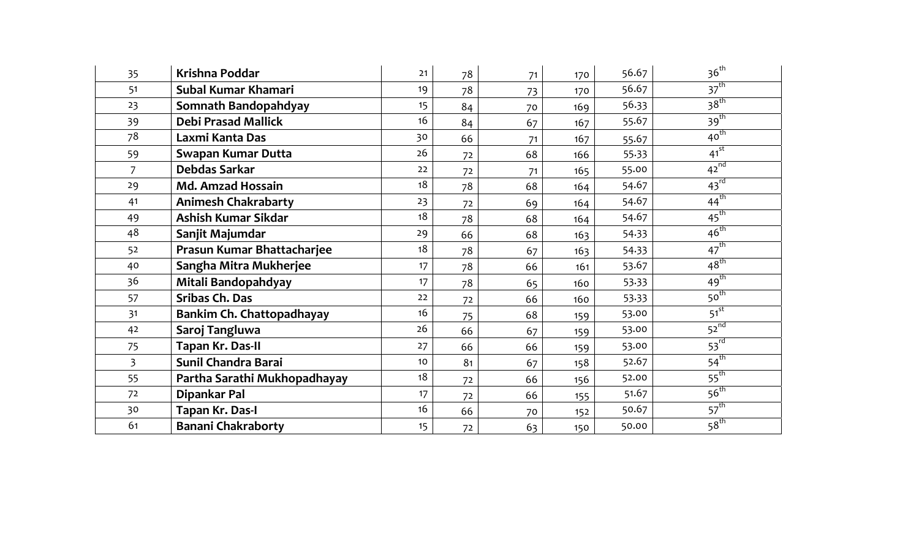| 35             | Krishna Poddar               | 21               | 78 | 71 | 170 | 56.67 | $36^{th}$        |
|----------------|------------------------------|------------------|----|----|-----|-------|------------------|
| 51             | Subal Kumar Khamari          | 19               | 78 | 73 | 170 | 56.67 | 37 <sup>th</sup> |
| 23             | Somnath Bandopahdyay         | 15               | 84 | 70 | 169 | 56.33 | 38 <sup>th</sup> |
| 39             | <b>Debi Prasad Mallick</b>   | 16               | 84 | 67 | 167 | 55.67 | 39 <sup>th</sup> |
| 78             | Laxmi Kanta Das              | 30               | 66 | 71 | 167 | 55.67 | $40^{th}$        |
| 59             | <b>Swapan Kumar Dutta</b>    | 26               | 72 | 68 | 166 | 55.33 | $41^{st}$        |
| $\overline{7}$ | Debdas Sarkar                | 22               | 72 | 71 | 165 | 55.00 | $42^{nd}$        |
| 29             | <b>Md. Amzad Hossain</b>     | 18               | 78 | 68 | 164 | 54.67 | $43^{rd}$        |
| 41             | <b>Animesh Chakrabarty</b>   | 23               | 72 | 69 | 164 | 54.67 | $44^{\text{th}}$ |
| 49             | Ashish Kumar Sikdar          | 18               | 78 | 68 | 164 | 54.67 | $45^{\text{th}}$ |
| 48             | Sanjit Majumdar              | 29               | 66 | 68 | 163 | 54.33 | $46^{\text{th}}$ |
| 52             | Prasun Kumar Bhattacharjee   | 18               | 78 | 67 | 163 | 54.33 | $47^{\text{th}}$ |
| 40             | Sangha Mitra Mukherjee       | 17 <sup>17</sup> | 78 | 66 | 161 | 53.67 | $48^{\text{th}}$ |
| 36             | Mitali Bandopahdyay          | 17               | 78 | 65 | 160 | 53.33 | $49^{th}$        |
| 57             | <b>Sribas Ch. Das</b>        | 22               | 72 | 66 | 160 | 53.33 | 50 <sup>th</sup> |
| 31             | Bankim Ch. Chattopadhayay    | 16               | 75 | 68 | 159 | 53.00 | $51^{st}$        |
| 42             | Saroj Tangluwa               | 26               | 66 | 67 | 159 | 53.00 | $52^{nd}$        |
| 75             | Tapan Kr. Das-II             | 27               | 66 | 66 | 159 | 53.00 | $53^{rd}$        |
| $\overline{3}$ | Sunil Chandra Barai          | 10 <sup>°</sup>  | 81 | 67 | 158 | 52.67 | $54^{\text{th}}$ |
| 55             | Partha Sarathi Mukhopadhayay | 18               | 72 | 66 | 156 | 52.00 | $55^{th}$        |
| 72             | Dipankar Pal                 | 17               | 72 | 66 | 155 | 51.67 | 56 <sup>th</sup> |
| 30             | Tapan Kr. Das-I              | 16               | 66 | 70 | 152 | 50.67 | 57 <sup>th</sup> |
| 61             | <b>Banani Chakraborty</b>    | 15               | 72 | 63 | 150 | 50.00 | 58 <sup>th</sup> |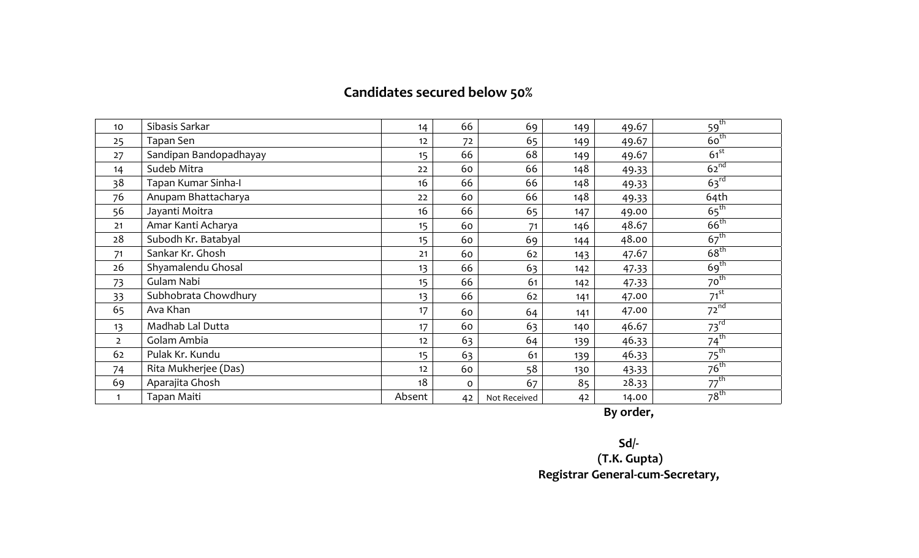## **Candidates secured below 50%**

| 10             | Sibasis Sarkar         | 14              | 66       | 69           | 149 | 49.67 | 59 <sup>th</sup> |
|----------------|------------------------|-----------------|----------|--------------|-----|-------|------------------|
| 25             | Tapan Sen              | 12              | 72       | 65           | 149 | 49.67 | $60^{\text{th}}$ |
| 27             | Sandipan Bandopadhayay | 15 <sub>1</sub> | 66       | 68           | 149 | 49.67 | $61^{st}$        |
| 14             | Sudeb Mitra            | 22              | 60       | 66           | 148 | 49.33 | $62^{nd}$        |
| 38             | Tapan Kumar Sinha-I    | 16              | 66       | 66           | 148 | 49.33 | 63 <sup>rd</sup> |
| 76             | Anupam Bhattacharya    | 22              | 60       | 66           | 148 | 49.33 | 64th             |
| 56             | Jayanti Moitra         | 16              | 66       | 65           | 147 | 49.00 | $65^{\text{th}}$ |
| 21             | Amar Kanti Acharya     | 15              | 60       | 71           | 146 | 48.67 | $66^{\text{th}}$ |
| 28             | Subodh Kr. Batabyal    | 15 <sub>1</sub> | 60       | 69           | 144 | 48.00 | $67^{\text{th}}$ |
| 71             | Sankar Kr. Ghosh       | 21              | 60       | 62           | 143 | 47.67 | $68^{\text{th}}$ |
| 26             | Shyamalendu Ghosal     | 13              | 66       | 63           | 142 | 47.33 | 69 <sup>th</sup> |
| 73             | Gulam Nabi             | 15 <sub>1</sub> | 66       | 61           | 142 | 47.33 | $70^{th}$        |
| 33             | Subhobrata Chowdhury   | 13              | 66       | 62           | 141 | 47.00 | $71^{st}$        |
| 65             | Ava Khan               | 17              | 60       | 64           | 141 | 47.00 | $72^{nd}$        |
| 13             | Madhab Lal Dutta       | 17              | 60       | 63           | 140 | 46.67 | $73^{rd}$        |
| $\overline{2}$ | Golam Ambia            | 12              | 63       | 64           | 139 | 46.33 | $74^{\text{th}}$ |
| 62             | Pulak Kr. Kundu        | 15 <sub>1</sub> | 63       | 61           | 139 | 46.33 | $75^{\text{th}}$ |
| 74             | Rita Mukherjee (Das)   | 12              | 60       | 58           | 130 | 43.33 | $76^{th}$        |
| 69             | Aparajita Ghosh        | 18              | $\Omega$ | 67           | 85  | 28.33 | $77^{\text{th}}$ |
| 1              | Tapan Maiti            | Absent          | 42       | Not Received | 42  | 14.00 | $78^{th}$        |

**By order,**

**Sd/‐ (T.K. Gupta)**

**Registrar General‐cum‐Secretary,**